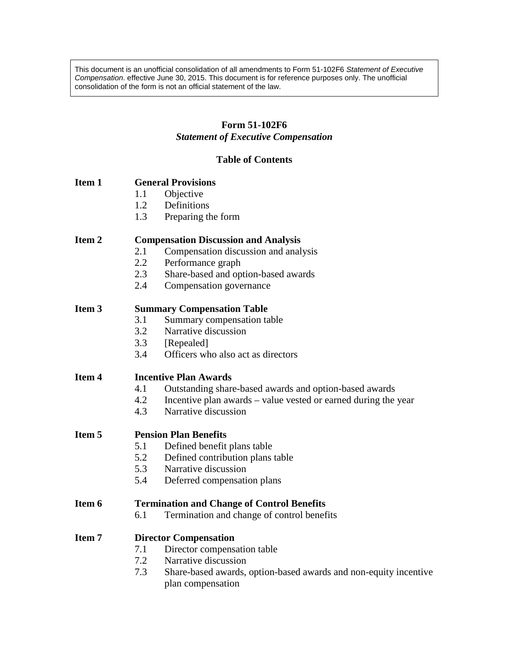This document is an unofficial consolidation of all amendments to Form 51-102F6 *Statement of Executive Compensation*. effective June 30, 2015. This document is for reference purposes only. The unofficial consolidation of the form is not an official statement of the law.

## **Form 51-102F6**

## *Statement of Executive Compensation*

#### **Table of Contents**

| Item 1            | <b>General Provisions</b>    |                                                                  |  |  |  |  |  |
|-------------------|------------------------------|------------------------------------------------------------------|--|--|--|--|--|
|                   | 1.1                          | Objective                                                        |  |  |  |  |  |
|                   | 1.2                          | Definitions                                                      |  |  |  |  |  |
|                   | 1.3                          | Preparing the form                                               |  |  |  |  |  |
| Item <sub>2</sub> |                              | <b>Compensation Discussion and Analysis</b>                      |  |  |  |  |  |
|                   | 2.1                          | Compensation discussion and analysis                             |  |  |  |  |  |
|                   | $2.2\,$                      | Performance graph                                                |  |  |  |  |  |
|                   | 2.3                          | Share-based and option-based awards                              |  |  |  |  |  |
|                   | 2.4                          | Compensation governance                                          |  |  |  |  |  |
| Item <sub>3</sub> |                              | <b>Summary Compensation Table</b>                                |  |  |  |  |  |
|                   | 3.1                          | Summary compensation table                                       |  |  |  |  |  |
|                   | 3.2                          | Narrative discussion                                             |  |  |  |  |  |
|                   | 3.3                          | [Repealed]                                                       |  |  |  |  |  |
|                   | 3.4                          | Officers who also act as directors                               |  |  |  |  |  |
| Item 4            | <b>Incentive Plan Awards</b> |                                                                  |  |  |  |  |  |
|                   | 4.1                          | Outstanding share-based awards and option-based awards           |  |  |  |  |  |
|                   | 4.2                          | Incentive plan awards – value vested or earned during the year   |  |  |  |  |  |
|                   | 4.3                          | Narrative discussion                                             |  |  |  |  |  |
| Item 5            |                              | <b>Pension Plan Benefits</b>                                     |  |  |  |  |  |
|                   | 5.1                          | Defined benefit plans table                                      |  |  |  |  |  |
|                   | 5.2                          | Defined contribution plans table                                 |  |  |  |  |  |
|                   | 5.3                          | Narrative discussion                                             |  |  |  |  |  |
|                   | 5.4                          | Deferred compensation plans                                      |  |  |  |  |  |
| Item 6            |                              | <b>Termination and Change of Control Benefits</b>                |  |  |  |  |  |
|                   | 6.1                          | Termination and change of control benefits                       |  |  |  |  |  |
| Item <sub>7</sub> |                              | <b>Director Compensation</b>                                     |  |  |  |  |  |
|                   | 7.1                          | Director compensation table                                      |  |  |  |  |  |
|                   | 7.2                          | Narrative discussion                                             |  |  |  |  |  |
|                   | 7.3                          | Share-based awards, option-based awards and non-equity incentive |  |  |  |  |  |
|                   |                              | plan compensation                                                |  |  |  |  |  |
|                   |                              |                                                                  |  |  |  |  |  |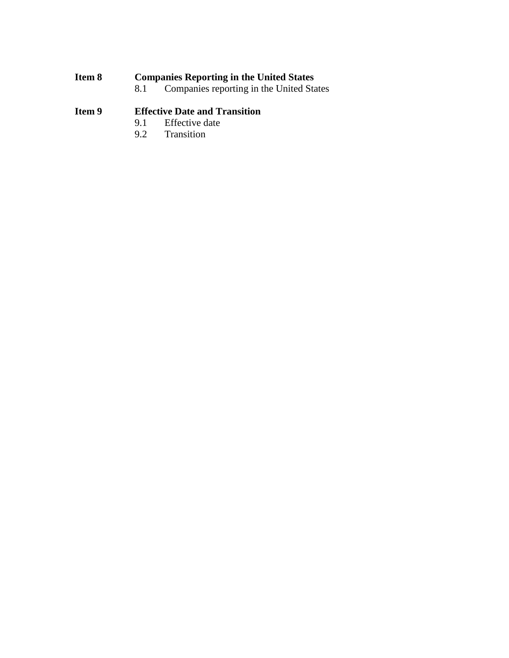## **Item 8 Companies Reporting in the United States**

8.1 Companies reporting in the United States

# **Item 9 Effective Date and Transition**<br>9.1 Effective date

- 9.1 Effective date<br>9.2 Transition
- **Transition**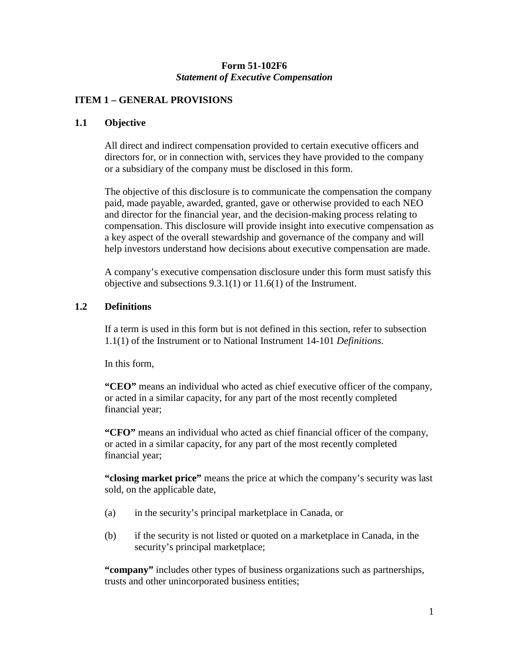## **Form 51-102F6** *Statement of Executive Compensation*

## **ITEM 1 – GENERAL PROVISIONS**

#### **1.1 Objective**

All direct and indirect compensation provided to certain executive officers and directors for, or in connection with, services they have provided to the company or a subsidiary of the company must be disclosed in this form.

The objective of this disclosure is to communicate the compensation the company paid, made payable, awarded, granted, gave or otherwise provided to each NEO and director for the financial year, and the decision-making process relating to compensation. This disclosure will provide insight into executive compensation as a key aspect of the overall stewardship and governance of the company and will help investors understand how decisions about executive compensation are made.

A company's executive compensation disclosure under this form must satisfy this objective and subsections 9.3.1(1) or 11.6(1) of the Instrument.

## **1.2 Definitions**

If a term is used in this form but is not defined in this section, refer to subsection 1.1(1) of the Instrument or to National Instrument 14-101 *Definitions*.

In this form,

**"CEO"** means an individual who acted as chief executive officer of the company, or acted in a similar capacity, for any part of the most recently completed financial year;

**"CFO"** means an individual who acted as chief financial officer of the company, or acted in a similar capacity, for any part of the most recently completed financial year;

**"closing market price"** means the price at which the company's security was last sold, on the applicable date,

- (a) in the security's principal marketplace in Canada, or
- (b) if the security is not listed or quoted on a marketplace in Canada, in the security's principal marketplace;

**"company"** includes other types of business organizations such as partnerships, trusts and other unincorporated business entities;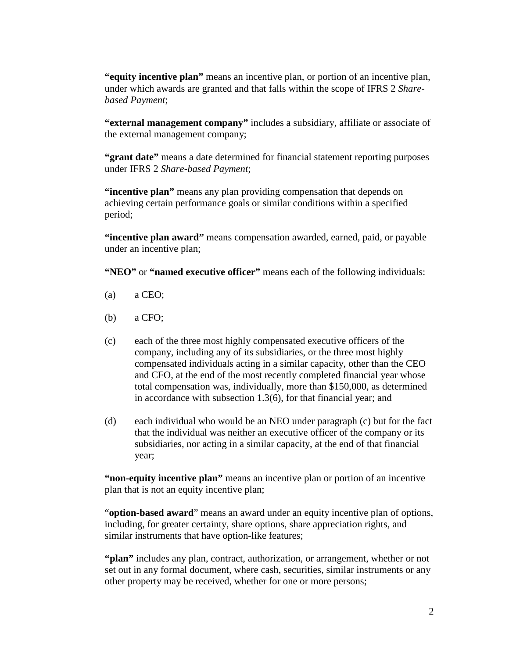**"equity incentive plan"** means an incentive plan, or portion of an incentive plan, under which awards are granted and that falls within the scope of IFRS 2 *Sharebased Payment*;

**"external management company"** includes a subsidiary, affiliate or associate of the external management company;

**"grant date"** means a date determined for financial statement reporting purposes under IFRS 2 *Share-based Payment*;

**"incentive plan"** means any plan providing compensation that depends on achieving certain performance goals or similar conditions within a specified period;

**"incentive plan award"** means compensation awarded, earned, paid, or payable under an incentive plan;

**"NEO"** or **"named executive officer"** means each of the following individuals:

- (a) a CEO;
- (b) a CFO;
- (c) each of the three most highly compensated executive officers of the company, including any of its subsidiaries, or the three most highly compensated individuals acting in a similar capacity, other than the CEO and CFO, at the end of the most recently completed financial year whose total compensation was, individually, more than \$150,000, as determined in accordance with subsection 1.3(6), for that financial year; and
- (d) each individual who would be an NEO under paragraph (c) but for the fact that the individual was neither an executive officer of the company or its subsidiaries, nor acting in a similar capacity, at the end of that financial year;

**"non-equity incentive plan"** means an incentive plan or portion of an incentive plan that is not an equity incentive plan;

"**option-based award**" means an award under an equity incentive plan of options, including, for greater certainty, share options, share appreciation rights, and similar instruments that have option-like features;

**"plan"** includes any plan, contract, authorization, or arrangement, whether or not set out in any formal document, where cash, securities, similar instruments or any other property may be received, whether for one or more persons;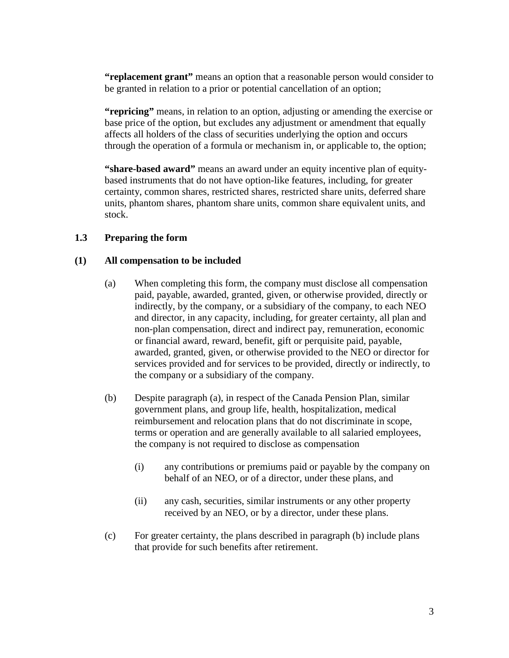**"replacement grant"** means an option that a reasonable person would consider to be granted in relation to a prior or potential cancellation of an option;

**"repricing"** means, in relation to an option, adjusting or amending the exercise or base price of the option, but excludes any adjustment or amendment that equally affects all holders of the class of securities underlying the option and occurs through the operation of a formula or mechanism in, or applicable to, the option;

**"share-based award"** means an award under an equity incentive plan of equitybased instruments that do not have option-like features, including, for greater certainty, common shares, restricted shares, restricted share units, deferred share units, phantom shares, phantom share units, common share equivalent units, and stock.

## **1.3 Preparing the form**

#### **(1) All compensation to be included**

- (a) When completing this form, the company must disclose all compensation paid, payable, awarded, granted, given, or otherwise provided, directly or indirectly, by the company, or a subsidiary of the company, to each NEO and director, in any capacity, including, for greater certainty, all plan and non-plan compensation, direct and indirect pay, remuneration, economic or financial award, reward, benefit, gift or perquisite paid, payable, awarded, granted, given, or otherwise provided to the NEO or director for services provided and for services to be provided, directly or indirectly, to the company or a subsidiary of the company.
- (b) Despite paragraph (a), in respect of the Canada Pension Plan, similar government plans, and group life, health, hospitalization, medical reimbursement and relocation plans that do not discriminate in scope, terms or operation and are generally available to all salaried employees, the company is not required to disclose as compensation
	- (i) any contributions or premiums paid or payable by the company on behalf of an NEO, or of a director, under these plans, and
	- (ii) any cash, securities, similar instruments or any other property received by an NEO, or by a director, under these plans.
- (c) For greater certainty, the plans described in paragraph (b) include plans that provide for such benefits after retirement.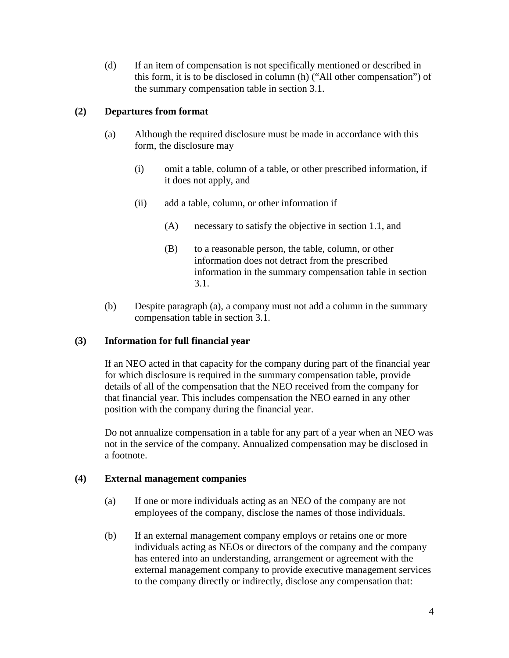(d) If an item of compensation is not specifically mentioned or described in this form, it is to be disclosed in column (h) ("All other compensation") of the summary compensation table in section 3.1.

## **(2) Departures from format**

- (a) Although the required disclosure must be made in accordance with this form, the disclosure may
	- (i) omit a table, column of a table, or other prescribed information, if it does not apply, and
	- (ii) add a table, column, or other information if
		- (A) necessary to satisfy the objective in section 1.1, and
		- (B) to a reasonable person, the table, column, or other information does not detract from the prescribed information in the summary compensation table in section 3.1.
- (b) Despite paragraph (a), a company must not add a column in the summary compensation table in section 3.1.

#### **(3) Information for full financial year**

If an NEO acted in that capacity for the company during part of the financial year for which disclosure is required in the summary compensation table, provide details of all of the compensation that the NEO received from the company for that financial year. This includes compensation the NEO earned in any other position with the company during the financial year.

Do not annualize compensation in a table for any part of a year when an NEO was not in the service of the company. Annualized compensation may be disclosed in a footnote.

#### **(4) External management companies**

- (a) If one or more individuals acting as an NEO of the company are not employees of the company, disclose the names of those individuals.
- (b) If an external management company employs or retains one or more individuals acting as NEOs or directors of the company and the company has entered into an understanding, arrangement or agreement with the external management company to provide executive management services to the company directly or indirectly, disclose any compensation that: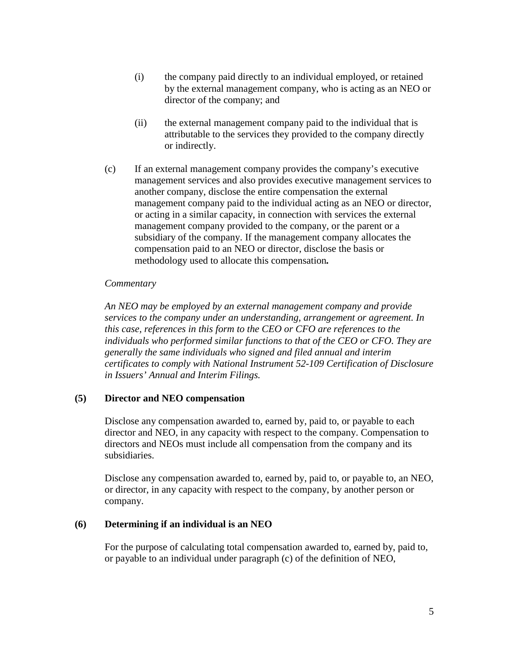- (i) the company paid directly to an individual employed, or retained by the external management company, who is acting as an NEO or director of the company; and
- (ii) the external management company paid to the individual that is attributable to the services they provided to the company directly or indirectly.
- (c) If an external management company provides the company's executive management services and also provides executive management services to another company, disclose the entire compensation the external management company paid to the individual acting as an NEO or director, or acting in a similar capacity, in connection with services the external management company provided to the company, or the parent or a subsidiary of the company. If the management company allocates the compensation paid to an NEO or director, disclose the basis or methodology used to allocate this compensation*.*

*An NEO may be employed by an external management company and provide services to the company under an understanding, arrangement or agreement. In this case, references in this form to the CEO or CFO are references to the individuals who performed similar functions to that of the CEO or CFO. They are generally the same individuals who signed and filed annual and interim certificates to comply with National Instrument 52-109 Certification of Disclosure in Issuers' Annual and Interim Filings.* 

#### **(5) Director and NEO compensation**

Disclose any compensation awarded to, earned by, paid to, or payable to each director and NEO, in any capacity with respect to the company. Compensation to directors and NEOs must include all compensation from the company and its subsidiaries.

Disclose any compensation awarded to, earned by, paid to, or payable to, an NEO, or director, in any capacity with respect to the company, by another person or company.

#### **(6) Determining if an individual is an NEO**

For the purpose of calculating total compensation awarded to, earned by, paid to, or payable to an individual under paragraph (c) of the definition of NEO,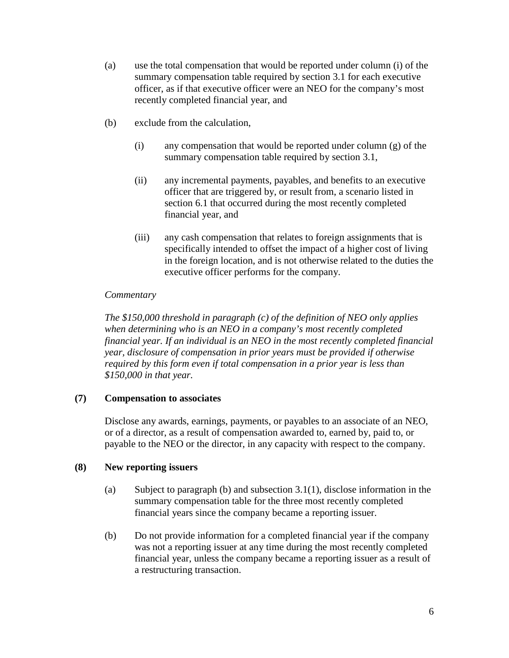- (a) use the total compensation that would be reported under column (i) of the summary compensation table required by section 3.1 for each executive officer, as if that executive officer were an NEO for the company's most recently completed financial year, and
- (b) exclude from the calculation,
	- (i) any compensation that would be reported under column (g) of the summary compensation table required by section 3.1,
	- (ii) any incremental payments, payables, and benefits to an executive officer that are triggered by, or result from, a scenario listed in section 6.1 that occurred during the most recently completed financial year, and
	- (iii) any cash compensation that relates to foreign assignments that is specifically intended to offset the impact of a higher cost of living in the foreign location, and is not otherwise related to the duties the executive officer performs for the company.

*The \$150,000 threshold in paragraph (c) of the definition of NEO only applies when determining who is an NEO in a company's most recently completed financial year. If an individual is an NEO in the most recently completed financial year, disclosure of compensation in prior years must be provided if otherwise required by this form even if total compensation in a prior year is less than \$150,000 in that year.*

#### **(7) Compensation to associates**

Disclose any awards, earnings, payments, or payables to an associate of an NEO, or of a director, as a result of compensation awarded to, earned by, paid to, or payable to the NEO or the director, in any capacity with respect to the company.

#### **(8) New reporting issuers**

- (a) Subject to paragraph (b) and subsection 3.1(1), disclose information in the summary compensation table for the three most recently completed financial years since the company became a reporting issuer.
- (b) Do not provide information for a completed financial year if the company was not a reporting issuer at any time during the most recently completed financial year, unless the company became a reporting issuer as a result of a restructuring transaction.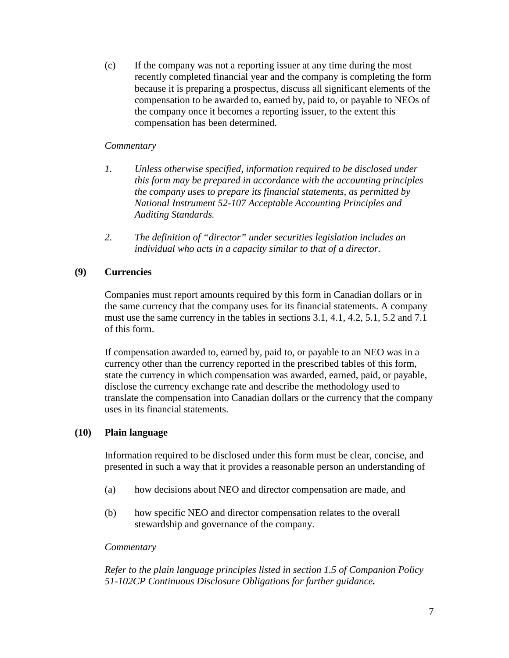(c) If the company was not a reporting issuer at any time during the most recently completed financial year and the company is completing the form because it is preparing a prospectus, discuss all significant elements of the compensation to be awarded to, earned by, paid to, or payable to NEOs of the company once it becomes a reporting issuer, to the extent this compensation has been determined.

## *Commentary*

- *1. Unless otherwise specified, information required to be disclosed under this form may be prepared in accordance with the accounting principles the company uses to prepare its financial statements, as permitted by National Instrument 52-107 Acceptable Accounting Principles and Auditing Standards.*
- *2. The definition of "director" under securities legislation includes an individual who acts in a capacity similar to that of a director.*

## **(9) Currencies**

Companies must report amounts required by this form in Canadian dollars or in the same currency that the company uses for its financial statements. A company must use the same currency in the tables in sections 3.1, 4.1, 4.2, 5.1, 5.2 and 7.1 of this form.

If compensation awarded to, earned by, paid to, or payable to an NEO was in a currency other than the currency reported in the prescribed tables of this form, state the currency in which compensation was awarded, earned, paid, or payable, disclose the currency exchange rate and describe the methodology used to translate the compensation into Canadian dollars or the currency that the company uses in its financial statements.

#### **(10) Plain language**

Information required to be disclosed under this form must be clear, concise, and presented in such a way that it provides a reasonable person an understanding of

- (a) how decisions about NEO and director compensation are made, and
- (b) how specific NEO and director compensation relates to the overall stewardship and governance of the company.

#### *Commentary*

*Refer to the plain language principles listed in section 1.5 of Companion Policy 51-102CP Continuous Disclosure Obligations for further guidance.*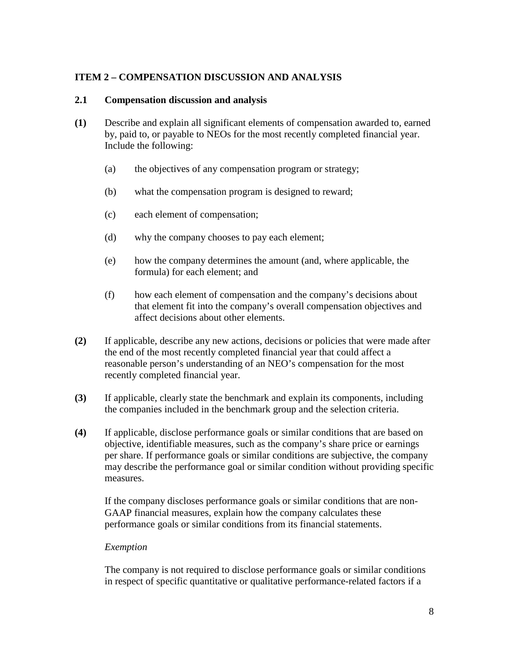## **ITEM 2 – COMPENSATION DISCUSSION AND ANALYSIS**

#### **2.1 Compensation discussion and analysis**

- **(1)** Describe and explain all significant elements of compensation awarded to, earned by, paid to, or payable to NEOs for the most recently completed financial year. Include the following:
	- (a) the objectives of any compensation program or strategy;
	- (b) what the compensation program is designed to reward;
	- (c) each element of compensation;
	- (d) why the company chooses to pay each element;
	- (e) how the company determines the amount (and, where applicable, the formula) for each element; and
	- (f) how each element of compensation and the company's decisions about that element fit into the company's overall compensation objectives and affect decisions about other elements.
- **(2)** If applicable, describe any new actions, decisions or policies that were made after the end of the most recently completed financial year that could affect a reasonable person's understanding of an NEO's compensation for the most recently completed financial year.
- **(3)** If applicable, clearly state the benchmark and explain its components, including the companies included in the benchmark group and the selection criteria.
- **(4)** If applicable, disclose performance goals or similar conditions that are based on objective, identifiable measures, such as the company's share price or earnings per share. If performance goals or similar conditions are subjective, the company may describe the performance goal or similar condition without providing specific measures.

If the company discloses performance goals or similar conditions that are non-GAAP financial measures, explain how the company calculates these performance goals or similar conditions from its financial statements.

#### *Exemption*

The company is not required to disclose performance goals or similar conditions in respect of specific quantitative or qualitative performance-related factors if a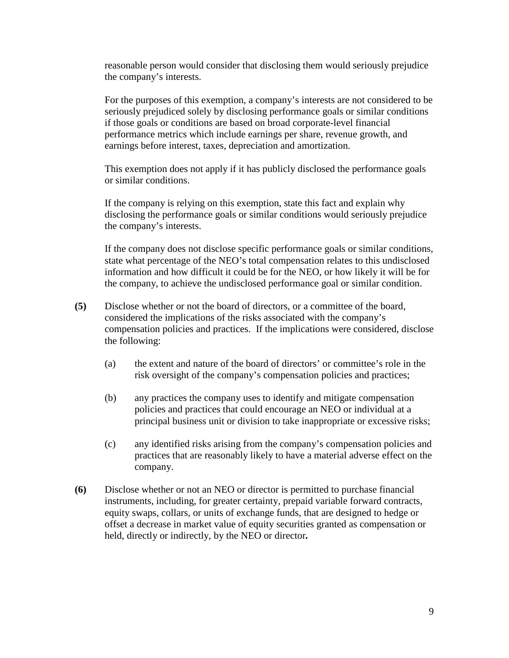reasonable person would consider that disclosing them would seriously prejudice the company's interests.

For the purposes of this exemption, a company's interests are not considered to be seriously prejudiced solely by disclosing performance goals or similar conditions if those goals or conditions are based on broad corporate-level financial performance metrics which include earnings per share, revenue growth, and earnings before interest, taxes, depreciation and amortization.

This exemption does not apply if it has publicly disclosed the performance goals or similar conditions.

If the company is relying on this exemption, state this fact and explain why disclosing the performance goals or similar conditions would seriously prejudice the company's interests.

If the company does not disclose specific performance goals or similar conditions, state what percentage of the NEO's total compensation relates to this undisclosed information and how difficult it could be for the NEO, or how likely it will be for the company, to achieve the undisclosed performance goal or similar condition.

- **(5)** Disclose whether or not the board of directors, or a committee of the board, considered the implications of the risks associated with the company's compensation policies and practices. If the implications were considered, disclose the following:
	- (a) the extent and nature of the board of directors' or committee's role in the risk oversight of the company's compensation policies and practices;
	- (b) any practices the company uses to identify and mitigate compensation policies and practices that could encourage an NEO or individual at a principal business unit or division to take inappropriate or excessive risks;
	- (c) any identified risks arising from the company's compensation policies and practices that are reasonably likely to have a material adverse effect on the company.
- **(6)** Disclose whether or not an NEO or director is permitted to purchase financial instruments, including, for greater certainty, prepaid variable forward contracts, equity swaps, collars, or units of exchange funds, that are designed to hedge or offset a decrease in market value of equity securities granted as compensation or held, directly or indirectly, by the NEO or director*.*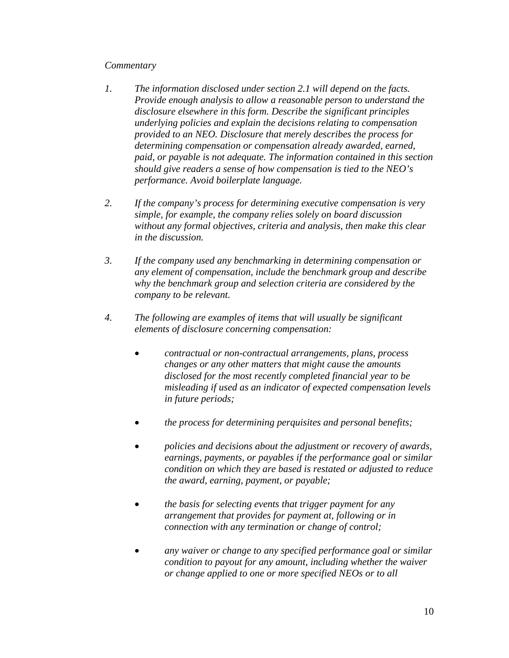- *1. The information disclosed under section 2.1 will depend on the facts. Provide enough analysis to allow a reasonable person to understand the disclosure elsewhere in this form. Describe the significant principles underlying policies and explain the decisions relating to compensation provided to an NEO. Disclosure that merely describes the process for determining compensation or compensation already awarded, earned, paid, or payable is not adequate. The information contained in this section should give readers a sense of how compensation is tied to the NEO's performance. Avoid boilerplate language.*
- *2. If the company's process for determining executive compensation is very simple, for example, the company relies solely on board discussion without any formal objectives, criteria and analysis, then make this clear in the discussion.*
- *3. If the company used any benchmarking in determining compensation or any element of compensation, include the benchmark group and describe why the benchmark group and selection criteria are considered by the company to be relevant.*
- *4. The following are examples of items that will usually be significant elements of disclosure concerning compensation:*
	- *contractual or non-contractual arrangements, plans, process changes or any other matters that might cause the amounts disclosed for the most recently completed financial year to be misleading if used as an indicator of expected compensation levels in future periods;*
	- *the process for determining perquisites and personal benefits;*
	- *policies and decisions about the adjustment or recovery of awards, earnings, payments, or payables if the performance goal or similar condition on which they are based is restated or adjusted to reduce the award, earning, payment, or payable;*
	- *the basis for selecting events that trigger payment for any arrangement that provides for payment at, following or in connection with any termination or change of control;*
	- *any waiver or change to any specified performance goal or similar condition to payout for any amount, including whether the waiver or change applied to one or more specified NEOs or to all*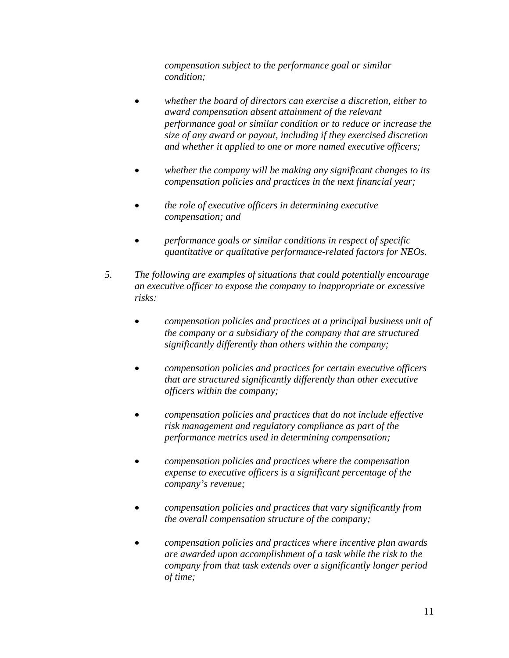*compensation subject to the performance goal or similar condition;*

- *whether the board of directors can exercise a discretion, either to award compensation absent attainment of the relevant performance goal or similar condition or to reduce or increase the size of any award or payout, including if they exercised discretion and whether it applied to one or more named executive officers;*
- *whether the company will be making any significant changes to its compensation policies and practices in the next financial year;*
- *the role of executive officers in determining executive compensation; and*
- *performance goals or similar conditions in respect of specific quantitative or qualitative performance-related factors for NEOs.*
- *5. The following are examples of situations that could potentially encourage an executive officer to expose the company to inappropriate or excessive risks:*
	- *compensation policies and practices at a principal business unit of the company or a subsidiary of the company that are structured significantly differently than others within the company;*
	- *compensation policies and practices for certain executive officers that are structured significantly differently than other executive officers within the company;*
	- *compensation policies and practices that do not include effective risk management and regulatory compliance as part of the performance metrics used in determining compensation;*
	- *compensation policies and practices where the compensation expense to executive officers is a significant percentage of the company's revenue;*
	- *compensation policies and practices that vary significantly from the overall compensation structure of the company;*
	- *compensation policies and practices where incentive plan awards are awarded upon accomplishment of a task while the risk to the company from that task extends over a significantly longer period of time;*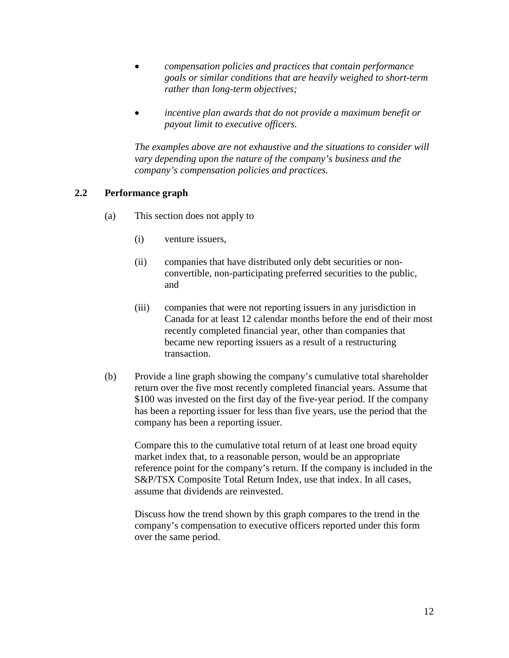- *compensation policies and practices that contain performance goals or similar conditions that are heavily weighed to short-term rather than long-term objectives;*
- *incentive plan awards that do not provide a maximum benefit or payout limit to executive officers.*

*The examples above are not exhaustive and the situations to consider will vary depending upon the nature of the company's business and the company's compensation policies and practices.*

## **2.2 Performance graph**

- (a) This section does not apply to
	- (i) venture issuers,
	- (ii) companies that have distributed only debt securities or nonconvertible, non-participating preferred securities to the public, and
	- (iii) companies that were not reporting issuers in any jurisdiction in Canada for at least 12 calendar months before the end of their most recently completed financial year, other than companies that became new reporting issuers as a result of a restructuring transaction.
- (b) Provide a line graph showing the company's cumulative total shareholder return over the five most recently completed financial years. Assume that \$100 was invested on the first day of the five-year period. If the company has been a reporting issuer for less than five years, use the period that the company has been a reporting issuer.

Compare this to the cumulative total return of at least one broad equity market index that, to a reasonable person, would be an appropriate reference point for the company's return. If the company is included in the S&P/TSX Composite Total Return Index, use that index. In all cases, assume that dividends are reinvested.

Discuss how the trend shown by this graph compares to the trend in the company's compensation to executive officers reported under this form over the same period.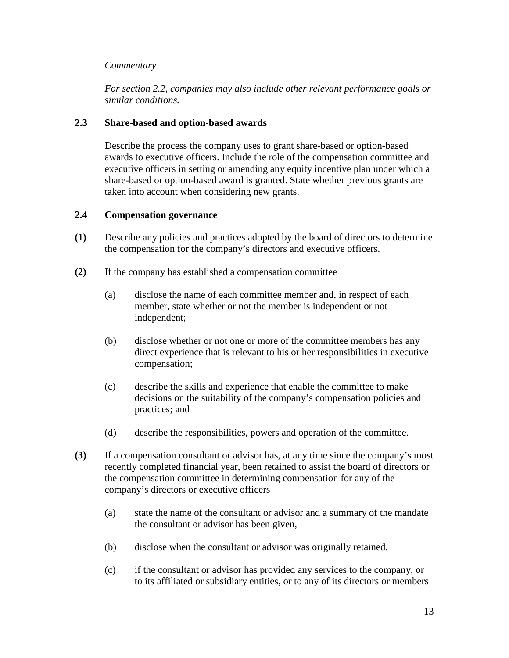*For section 2.2, companies may also include other relevant performance goals or similar conditions.*

#### **2.3 Share-based and option-based awards**

Describe the process the company uses to grant share-based or option-based awards to executive officers. Include the role of the compensation committee and executive officers in setting or amending any equity incentive plan under which a share-based or option-based award is granted. State whether previous grants are taken into account when considering new grants.

## **2.4 Compensation governance**

- **(1)** Describe any policies and practices adopted by the board of directors to determine the compensation for the company's directors and executive officers.
- **(2)** If the company has established a compensation committee
	- (a) disclose the name of each committee member and, in respect of each member, state whether or not the member is independent or not independent;
	- (b) disclose whether or not one or more of the committee members has any direct experience that is relevant to his or her responsibilities in executive compensation;
	- (c) describe the skills and experience that enable the committee to make decisions on the suitability of the company's compensation policies and practices; and
	- (d) describe the responsibilities, powers and operation of the committee.
- **(3)** If a compensation consultant or advisor has, at any time since the company's most recently completed financial year, been retained to assist the board of directors or the compensation committee in determining compensation for any of the company's directors or executive officers
	- (a) state the name of the consultant or advisor and a summary of the mandate the consultant or advisor has been given,
	- (b) disclose when the consultant or advisor was originally retained,
	- (c) if the consultant or advisor has provided any services to the company, or to its affiliated or subsidiary entities, or to any of its directors or members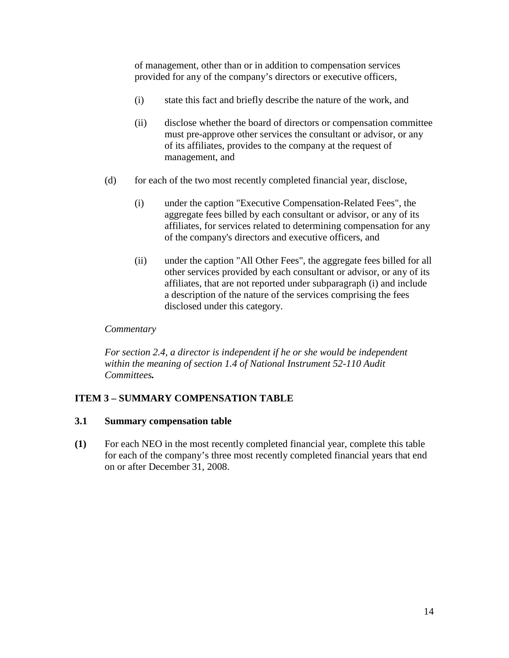of management, other than or in addition to compensation services provided for any of the company's directors or executive officers,

- (i) state this fact and briefly describe the nature of the work, and
- (ii) disclose whether the board of directors or compensation committee must pre-approve other services the consultant or advisor, or any of its affiliates, provides to the company at the request of management, and
- (d) for each of the two most recently completed financial year, disclose,
	- (i) under the caption "Executive Compensation-Related Fees", the aggregate fees billed by each consultant or advisor, or any of its affiliates, for services related to determining compensation for any of the company's directors and executive officers, and
	- (ii) under the caption "All Other Fees", the aggregate fees billed for all other services provided by each consultant or advisor, or any of its affiliates, that are not reported under subparagraph (i) and include a description of the nature of the services comprising the fees disclosed under this category.

#### *Commentary*

*For section 2.4, a director is independent if he or she would be independent within the meaning of section 1.4 of National Instrument 52-110 Audit Committees.*

## **ITEM 3 – SUMMARY COMPENSATION TABLE**

#### **3.1 Summary compensation table**

**(1)** For each NEO in the most recently completed financial year, complete this table for each of the company's three most recently completed financial years that end on or after December 31, 2008.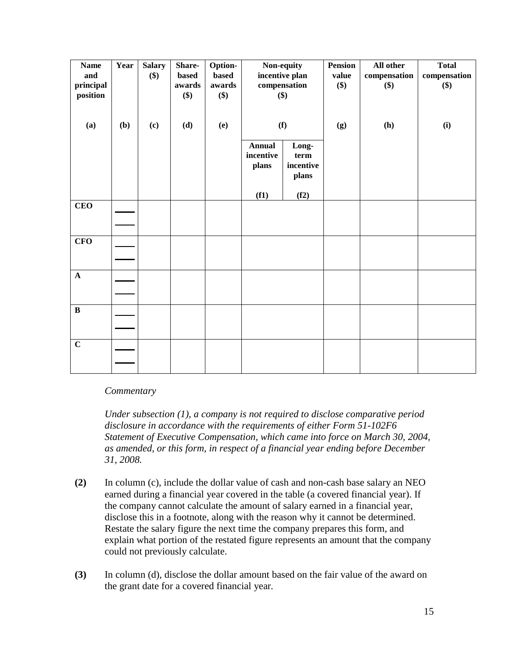| <b>Name</b><br>and<br>principal<br>position | Year | <b>Salary</b><br>\$) | Share-<br>based<br>awards<br>\$) | Option-<br>based<br>awards<br>\$) |                                     | Non-equity<br>incentive plan<br>compensation<br>\$) | <b>Pension</b><br>value<br>\$) | All other<br>compensation<br>\$) | <b>Total</b><br>compensation<br>\$) |
|---------------------------------------------|------|----------------------|----------------------------------|-----------------------------------|-------------------------------------|-----------------------------------------------------|--------------------------------|----------------------------------|-------------------------------------|
| (a)                                         | (b)  | (c)                  | (d)                              | (e)                               | <b>Annual</b><br>incentive<br>plans | (f)<br>Long-<br>term<br>incentive<br>plans          | (g)                            | (h)                              | (i)                                 |
| <b>CEO</b>                                  |      |                      |                                  |                                   | (f1)                                | (f2)                                                |                                |                                  |                                     |
| CFO                                         |      |                      |                                  |                                   |                                     |                                                     |                                |                                  |                                     |
| $\mathbf A$                                 |      |                      |                                  |                                   |                                     |                                                     |                                |                                  |                                     |
| $\, {\bf B}$                                |      |                      |                                  |                                   |                                     |                                                     |                                |                                  |                                     |
| $\mathbf C$                                 |      |                      |                                  |                                   |                                     |                                                     |                                |                                  |                                     |

*Under subsection (1), a company is not required to disclose comparative period disclosure in accordance with the requirements of either Form 51-102F6 Statement of Executive Compensation, which came into force on March 30, 2004, as amended, or this form, in respect of a financial year ending before December 31, 2008.*

- **(2)** In column (c), include the dollar value of cash and non-cash base salary an NEO earned during a financial year covered in the table (a covered financial year). If the company cannot calculate the amount of salary earned in a financial year, disclose this in a footnote, along with the reason why it cannot be determined. Restate the salary figure the next time the company prepares this form, and explain what portion of the restated figure represents an amount that the company could not previously calculate.
- **(3)** In column (d), disclose the dollar amount based on the fair value of the award on the grant date for a covered financial year*.*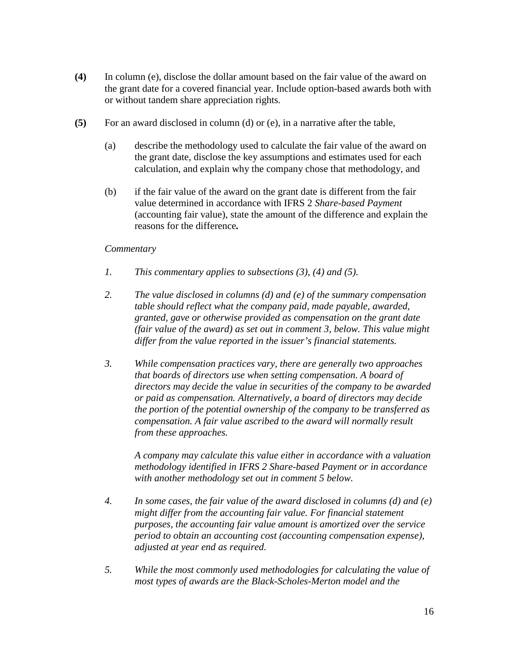- **(4)** In column (e), disclose the dollar amount based on the fair value of the award on the grant date for a covered financial year. Include option-based awards both with or without tandem share appreciation rights*.*
- **(5)** For an award disclosed in column (d) or (e), in a narrative after the table,
	- (a) describe the methodology used to calculate the fair value of the award on the grant date, disclose the key assumptions and estimates used for each calculation, and explain why the company chose that methodology, and
	- (b) if the fair value of the award on the grant date is different from the fair value determined in accordance with IFRS 2 *Share-based Payment* (accounting fair value), state the amount of the difference and explain the reasons for the difference*.*

- *1. This commentary applies to subsections (3), (4) and (5).*
- *2. The value disclosed in columns (d) and (e) of the summary compensation table should reflect what the company paid, made payable, awarded, granted, gave or otherwise provided as compensation on the grant date (fair value of the award) as set out in comment 3, below. This value might differ from the value reported in the issuer's financial statements.*
- *3. While compensation practices vary, there are generally two approaches that boards of directors use when setting compensation. A board of directors may decide the value in securities of the company to be awarded or paid as compensation. Alternatively, a board of directors may decide the portion of the potential ownership of the company to be transferred as compensation. A fair value ascribed to the award will normally result from these approaches.*

*A company may calculate this value either in accordance with a valuation methodology identified in IFRS 2 Share-based Payment or in accordance with another methodology set out in comment 5 below.*

- *4. In some cases, the fair value of the award disclosed in columns (d) and (e) might differ from the accounting fair value. For financial statement purposes, the accounting fair value amount is amortized over the service period to obtain an accounting cost (accounting compensation expense), adjusted at year end as required.*
- *5. While the most commonly used methodologies for calculating the value of most types of awards are the Black-Scholes-Merton model and the*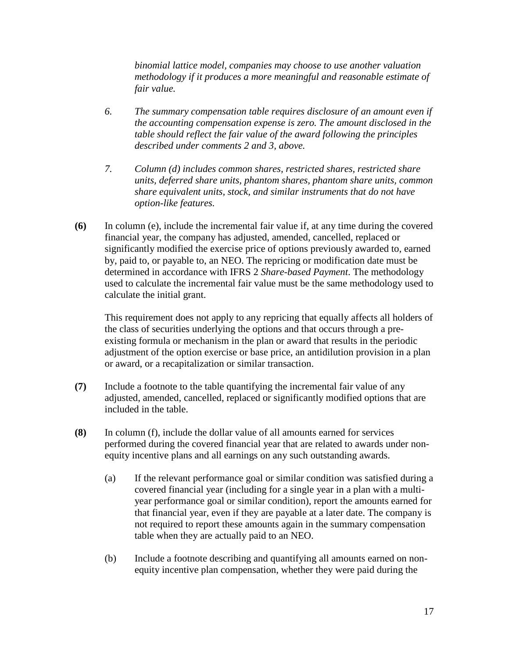*binomial lattice model, companies may choose to use another valuation methodology if it produces a more meaningful and reasonable estimate of fair value.* 

- *6. The summary compensation table requires disclosure of an amount even if the accounting compensation expense is zero. The amount disclosed in the table should reflect the fair value of the award following the principles described under comments 2 and 3, above.*
- *7. Column (d) includes common shares, restricted shares, restricted share units, deferred share units, phantom shares, phantom share units, common share equivalent units, stock, and similar instruments that do not have option-like features.*
- **(6)** In column (e), include the incremental fair value if, at any time during the covered financial year, the company has adjusted, amended, cancelled, replaced or significantly modified the exercise price of options previously awarded to, earned by, paid to, or payable to, an NEO. The repricing or modification date must be determined in accordance with IFRS 2 *Share-based Payment*. The methodology used to calculate the incremental fair value must be the same methodology used to calculate the initial grant.

This requirement does not apply to any repricing that equally affects all holders of the class of securities underlying the options and that occurs through a preexisting formula or mechanism in the plan or award that results in the periodic adjustment of the option exercise or base price, an antidilution provision in a plan or award, or a recapitalization or similar transaction.

- **(7)** Include a footnote to the table quantifying the incremental fair value of any adjusted, amended, cancelled, replaced or significantly modified options that are included in the table.
- **(8)** In column (f), include the dollar value of all amounts earned for services performed during the covered financial year that are related to awards under nonequity incentive plans and all earnings on any such outstanding awards.
	- (a) If the relevant performance goal or similar condition was satisfied during a covered financial year (including for a single year in a plan with a multiyear performance goal or similar condition), report the amounts earned for that financial year, even if they are payable at a later date. The company is not required to report these amounts again in the summary compensation table when they are actually paid to an NEO.
	- (b) Include a footnote describing and quantifying all amounts earned on nonequity incentive plan compensation, whether they were paid during the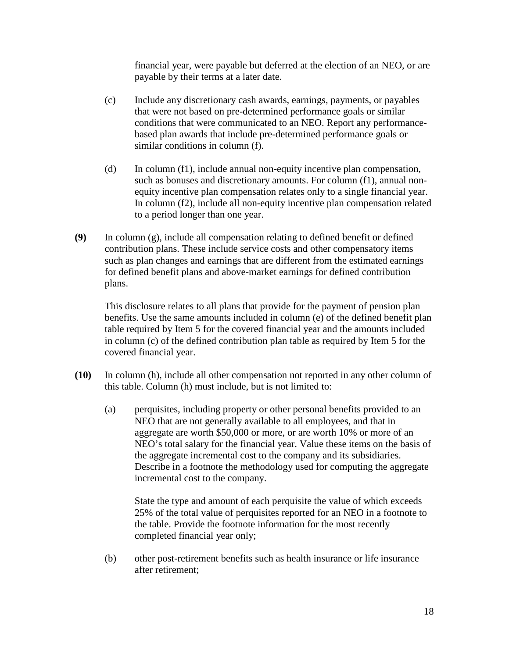financial year, were payable but deferred at the election of an NEO, or are payable by their terms at a later date.

- (c) Include any discretionary cash awards, earnings, payments, or payables that were not based on pre-determined performance goals or similar conditions that were communicated to an NEO. Report any performancebased plan awards that include pre-determined performance goals or similar conditions in column (f).
- (d) In column (f1), include annual non-equity incentive plan compensation, such as bonuses and discretionary amounts. For column (f1), annual nonequity incentive plan compensation relates only to a single financial year. In column (f2), include all non-equity incentive plan compensation related to a period longer than one year.
- **(9)** In column (g), include all compensation relating to defined benefit or defined contribution plans. These include service costs and other compensatory items such as plan changes and earnings that are different from the estimated earnings for defined benefit plans and above-market earnings for defined contribution plans.

This disclosure relates to all plans that provide for the payment of pension plan benefits. Use the same amounts included in column (e) of the defined benefit plan table required by Item 5 for the covered financial year and the amounts included in column (c) of the defined contribution plan table as required by Item 5 for the covered financial year.

- **(10)** In column (h), include all other compensation not reported in any other column of this table. Column (h) must include, but is not limited to:
	- (a) perquisites, including property or other personal benefits provided to an NEO that are not generally available to all employees, and that in aggregate are worth \$50,000 or more, or are worth 10% or more of an NEO's total salary for the financial year. Value these items on the basis of the aggregate incremental cost to the company and its subsidiaries. Describe in a footnote the methodology used for computing the aggregate incremental cost to the company.

State the type and amount of each perquisite the value of which exceeds 25% of the total value of perquisites reported for an NEO in a footnote to the table. Provide the footnote information for the most recently completed financial year only;

(b) other post-retirement benefits such as health insurance or life insurance after retirement;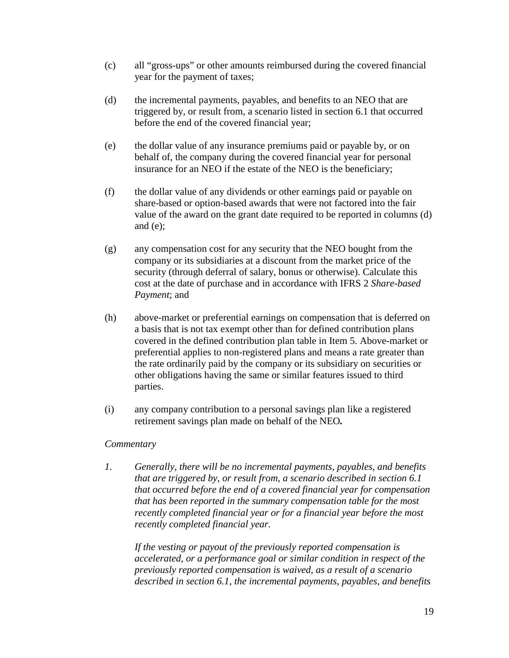- (c) all "gross-ups" or other amounts reimbursed during the covered financial year for the payment of taxes;
- (d) the incremental payments, payables, and benefits to an NEO that are triggered by, or result from, a scenario listed in section 6.1 that occurred before the end of the covered financial year;
- (e) the dollar value of any insurance premiums paid or payable by, or on behalf of, the company during the covered financial year for personal insurance for an NEO if the estate of the NEO is the beneficiary;
- (f) the dollar value of any dividends or other earnings paid or payable on share-based or option-based awards that were not factored into the fair value of the award on the grant date required to be reported in columns (d) and (e);
- (g) any compensation cost for any security that the NEO bought from the company or its subsidiaries at a discount from the market price of the security (through deferral of salary, bonus or otherwise). Calculate this cost at the date of purchase and in accordance with IFRS 2 *Share-based Payment*; and
- (h) above-market or preferential earnings on compensation that is deferred on a basis that is not tax exempt other than for defined contribution plans covered in the defined contribution plan table in Item 5. Above-market or preferential applies to non-registered plans and means a rate greater than the rate ordinarily paid by the company or its subsidiary on securities or other obligations having the same or similar features issued to third parties.
- (i) any company contribution to a personal savings plan like a registered retirement savings plan made on behalf of the NEO*.*

*1. Generally, there will be no incremental payments, payables, and benefits that are triggered by, or result from, a scenario described in section 6.1 that occurred before the end of a covered financial year for compensation that has been reported in the summary compensation table for the most recently completed financial year or for a financial year before the most recently completed financial year.* 

*If the vesting or payout of the previously reported compensation is accelerated, or a performance goal or similar condition in respect of the previously reported compensation is waived, as a result of a scenario described in section 6.1, the incremental payments, payables, and benefits*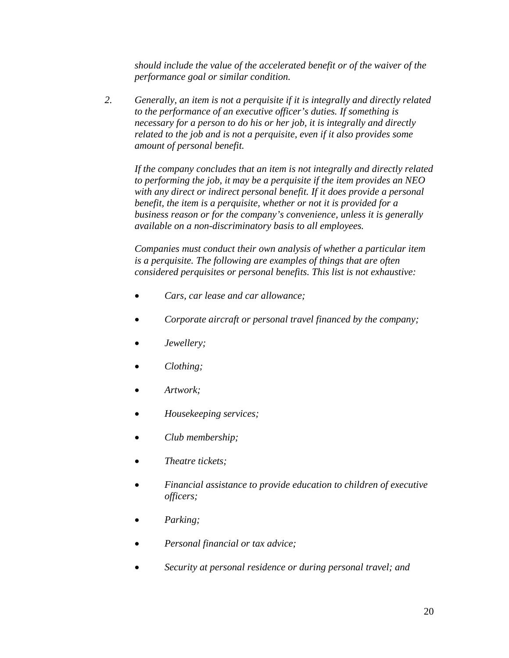*should include the value of the accelerated benefit or of the waiver of the performance goal or similar condition.* 

*2. Generally, an item is not a perquisite if it is integrally and directly related to the performance of an executive officer's duties. If something is necessary for a person to do his or her job, it is integrally and directly related to the job and is not a perquisite, even if it also provides some amount of personal benefit.*

*If the company concludes that an item is not integrally and directly related to performing the job, it may be a perquisite if the item provides an NEO with any direct or indirect personal benefit. If it does provide a personal benefit, the item is a perquisite, whether or not it is provided for a business reason or for the company's convenience, unless it is generally available on a non-discriminatory basis to all employees.*

*Companies must conduct their own analysis of whether a particular item is a perquisite. The following are examples of things that are often considered perquisites or personal benefits. This list is not exhaustive:*

- *Cars, car lease and car allowance;*
- *Corporate aircraft or personal travel financed by the company;*
- *Jewellery;*
- *Clothing;*
- *Artwork;*
- *Housekeeping services;*
- *Club membership;*
- *Theatre tickets;*
- *Financial assistance to provide education to children of executive officers;*
- *Parking;*
- *Personal financial or tax advice;*
- *Security at personal residence or during personal travel; and*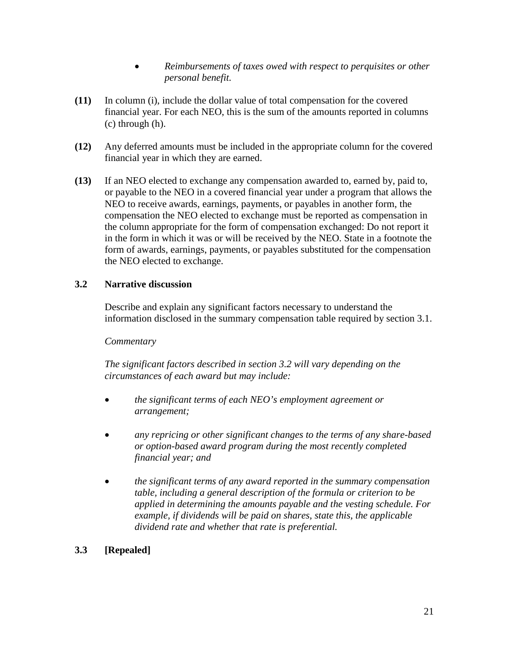- *Reimbursements of taxes owed with respect to perquisites or other personal benefit.*
- **(11)** In column (i), include the dollar value of total compensation for the covered financial year. For each NEO, this is the sum of the amounts reported in columns (c) through (h).
- **(12)** Any deferred amounts must be included in the appropriate column for the covered financial year in which they are earned.
- **(13)** If an NEO elected to exchange any compensation awarded to, earned by, paid to, or payable to the NEO in a covered financial year under a program that allows the NEO to receive awards, earnings, payments, or payables in another form, the compensation the NEO elected to exchange must be reported as compensation in the column appropriate for the form of compensation exchanged: Do not report it in the form in which it was or will be received by the NEO. State in a footnote the form of awards, earnings, payments, or payables substituted for the compensation the NEO elected to exchange.

## **3.2 Narrative discussion**

Describe and explain any significant factors necessary to understand the information disclosed in the summary compensation table required by section 3.1.

## *Commentary*

*The significant factors described in section 3.2 will vary depending on the circumstances of each award but may include:*

- *the significant terms of each NEO's employment agreement or arrangement;*
- *any repricing or other significant changes to the terms of any share-based or option-based award program during the most recently completed financial year; and*
- *the significant terms of any award reported in the summary compensation table, including a general description of the formula or criterion to be applied in determining the amounts payable and the vesting schedule. For example, if dividends will be paid on shares, state this, the applicable dividend rate and whether that rate is preferential.*

## **3.3 [Repealed]**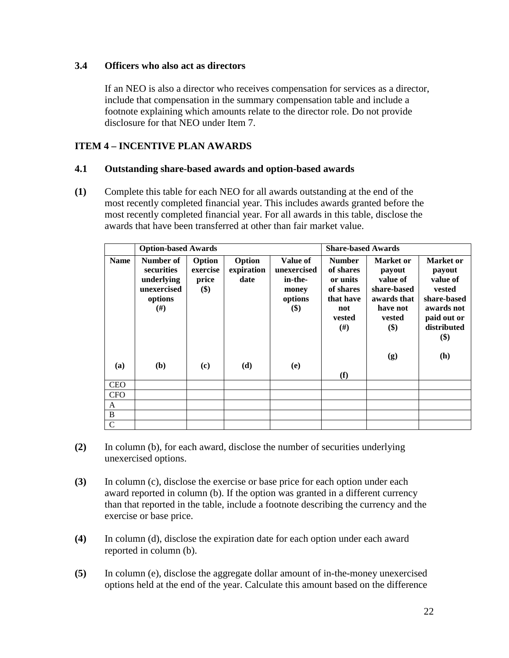## **3.4 Officers who also act as directors**

If an NEO is also a director who receives compensation for services as a director, include that compensation in the summary compensation table and include a footnote explaining which amounts relate to the director role. Do not provide disclosure for that NEO under Item 7.

## **ITEM 4 – INCENTIVE PLAN AWARDS**

## **4.1 Outstanding share-based awards and option-based awards**

**(1)** Complete this table for each NEO for all awards outstanding at the end of the most recently completed financial year. This includes awards granted before the most recently completed financial year. For all awards in this table, disclose the awards that have been transferred at other than fair market value.

|              | <b>Option-based Awards</b>                                                |                                    |                              | <b>Share-based Awards</b>                                     |                                                                                               |                                                                                                   |                                                                                                             |
|--------------|---------------------------------------------------------------------------|------------------------------------|------------------------------|---------------------------------------------------------------|-----------------------------------------------------------------------------------------------|---------------------------------------------------------------------------------------------------|-------------------------------------------------------------------------------------------------------------|
| <b>Name</b>  | Number of<br>securities<br>underlying<br>unexercised<br>options<br>$(\#)$ | Option<br>exercise<br>price<br>\$) | Option<br>expiration<br>date | Value of<br>unexercised<br>in-the-<br>money<br>options<br>\$) | <b>Number</b><br>of shares<br>or units<br>of shares<br>that have<br>not<br>vested<br>$^{(#)}$ | <b>Market or</b><br>payout<br>value of<br>share-based<br>awards that<br>have not<br>vested<br>\$) | Market or<br>payout<br>value of<br>vested<br>share-based<br>awards not<br>paid out or<br>distributed<br>\$) |
| (a)          | (b)                                                                       | (c)                                | (d)                          | (e)                                                           | (f)                                                                                           | (g)                                                                                               | (h)                                                                                                         |
| <b>CEO</b>   |                                                                           |                                    |                              |                                                               |                                                                                               |                                                                                                   |                                                                                                             |
| <b>CFO</b>   |                                                                           |                                    |                              |                                                               |                                                                                               |                                                                                                   |                                                                                                             |
| A            |                                                                           |                                    |                              |                                                               |                                                                                               |                                                                                                   |                                                                                                             |
| B            |                                                                           |                                    |                              |                                                               |                                                                                               |                                                                                                   |                                                                                                             |
| $\mathsf{C}$ |                                                                           |                                    |                              |                                                               |                                                                                               |                                                                                                   |                                                                                                             |

- **(2)** In column (b), for each award, disclose the number of securities underlying unexercised options.
- **(3)** In column (c), disclose the exercise or base price for each option under each award reported in column (b). If the option was granted in a different currency than that reported in the table, include a footnote describing the currency and the exercise or base price.
- **(4)** In column (d), disclose the expiration date for each option under each award reported in column (b).
- **(5)** In column (e), disclose the aggregate dollar amount of in-the-money unexercised options held at the end of the year. Calculate this amount based on the difference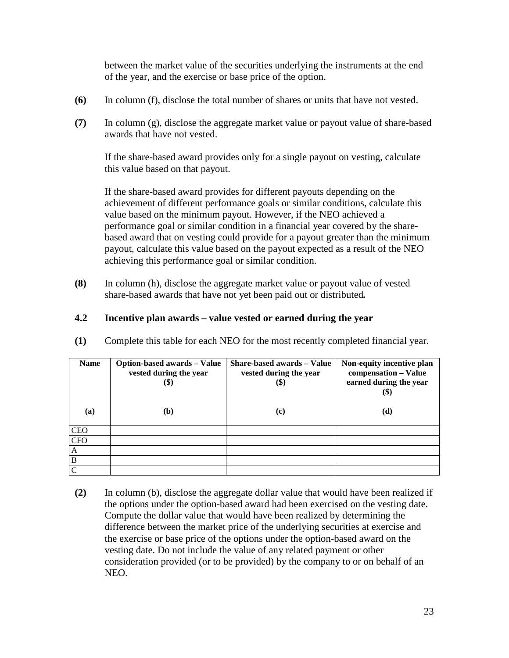between the market value of the securities underlying the instruments at the end of the year, and the exercise or base price of the option.

- **(6)** In column (f), disclose the total number of shares or units that have not vested.
- **(7)** In column (g), disclose the aggregate market value or payout value of share-based awards that have not vested.

If the share-based award provides only for a single payout on vesting, calculate this value based on that payout.

If the share-based award provides for different payouts depending on the achievement of different performance goals or similar conditions, calculate this value based on the minimum payout. However, if the NEO achieved a performance goal or similar condition in a financial year covered by the sharebased award that on vesting could provide for a payout greater than the minimum payout, calculate this value based on the payout expected as a result of the NEO achieving this performance goal or similar condition.

**(8)** In column (h), disclose the aggregate market value or payout value of vested share-based awards that have not yet been paid out or distributed*.*

## **4.2 Incentive plan awards – value vested or earned during the year**

| <b>Name</b><br>(a) | <b>Option-based awards - Value</b><br>vested during the year<br>(\$)<br>(b) | <b>Share-based awards – Value</b><br>vested during the year<br>(\$)<br>(c) | Non-equity incentive plan<br>compensation - Value<br>earned during the year<br>(\$)<br>(d) |
|--------------------|-----------------------------------------------------------------------------|----------------------------------------------------------------------------|--------------------------------------------------------------------------------------------|
|                    |                                                                             |                                                                            |                                                                                            |
| <b>CEO</b>         |                                                                             |                                                                            |                                                                                            |
| <b>CFO</b>         |                                                                             |                                                                            |                                                                                            |
| $\mathsf{A}$       |                                                                             |                                                                            |                                                                                            |
| $rac{B}{C}$        |                                                                             |                                                                            |                                                                                            |
|                    |                                                                             |                                                                            |                                                                                            |

**(1)** Complete this table for each NEO for the most recently completed financial year.

**(2)** In column (b), disclose the aggregate dollar value that would have been realized if the options under the option-based award had been exercised on the vesting date. Compute the dollar value that would have been realized by determining the difference between the market price of the underlying securities at exercise and the exercise or base price of the options under the option-based award on the vesting date. Do not include the value of any related payment or other consideration provided (or to be provided) by the company to or on behalf of an NEO.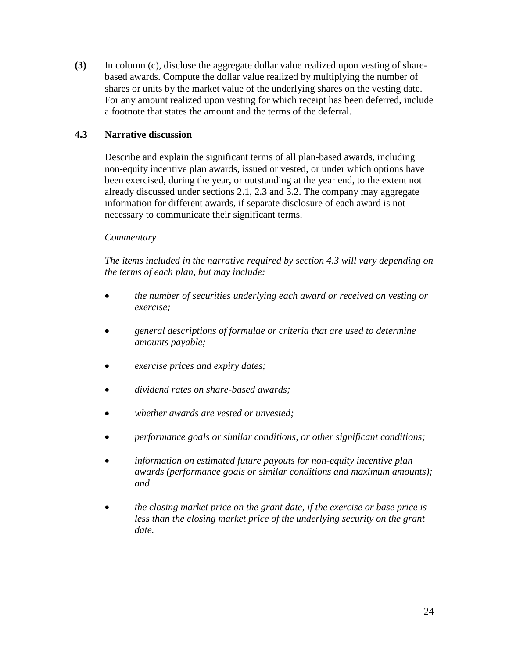**(3)** In column (c), disclose the aggregate dollar value realized upon vesting of sharebased awards. Compute the dollar value realized by multiplying the number of shares or units by the market value of the underlying shares on the vesting date. For any amount realized upon vesting for which receipt has been deferred, include a footnote that states the amount and the terms of the deferral.

## **4.3 Narrative discussion**

Describe and explain the significant terms of all plan-based awards, including non-equity incentive plan awards, issued or vested, or under which options have been exercised, during the year, or outstanding at the year end, to the extent not already discussed under sections 2.1, 2.3 and 3.2. The company may aggregate information for different awards, if separate disclosure of each award is not necessary to communicate their significant terms.

## *Commentary*

*The items included in the narrative required by section 4.3 will vary depending on the terms of each plan, but may include:*

- *the number of securities underlying each award or received on vesting or exercise;*
- *general descriptions of formulae or criteria that are used to determine amounts payable;*
- *exercise prices and expiry dates;*
- *dividend rates on share-based awards;*
- *whether awards are vested or unvested;*
- *performance goals or similar conditions, or other significant conditions;*
- *information on estimated future payouts for non-equity incentive plan awards (performance goals or similar conditions and maximum amounts); and*
- *the closing market price on the grant date, if the exercise or base price is*  less than the closing market price of the underlying security on the grant *date.*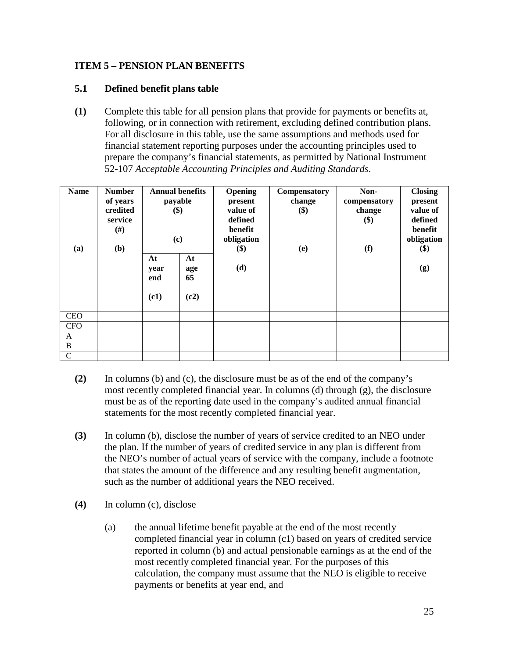## **ITEM 5 – PENSION PLAN BENEFITS**

## **5.1 Defined benefit plans table**

**(1)** Complete this table for all pension plans that provide for payments or benefits at, following, or in connection with retirement, excluding defined contribution plans. For all disclosure in this table, use the same assumptions and methods used for financial statement reporting purposes under the accounting principles used to prepare the company's financial statements, as permitted by National Instrument 52-107 *Acceptable Accounting Principles and Auditing Standards*.

| <b>Name</b><br>(a) | <b>Number</b><br>of years<br>credited<br>service<br>$(\#)$<br>(b) | <b>Annual benefits</b><br>payable<br>\$)<br>(c) |                         | <b>Opening</b><br>present<br>value of<br>defined<br>benefit<br>obligation<br>\$) | Compensatory<br>change<br>\$)<br>(e) | Non-<br>compensatory<br>change<br>\$)<br>(f) | <b>Closing</b><br>present<br>value of<br>defined<br>benefit<br>obligation<br>\$) |
|--------------------|-------------------------------------------------------------------|-------------------------------------------------|-------------------------|----------------------------------------------------------------------------------|--------------------------------------|----------------------------------------------|----------------------------------------------------------------------------------|
|                    |                                                                   | At<br>year<br>end<br>(c1)                       | At<br>age<br>65<br>(c2) | (d)                                                                              |                                      |                                              | (g)                                                                              |
| <b>CEO</b>         |                                                                   |                                                 |                         |                                                                                  |                                      |                                              |                                                                                  |
| <b>CFO</b>         |                                                                   |                                                 |                         |                                                                                  |                                      |                                              |                                                                                  |
| A                  |                                                                   |                                                 |                         |                                                                                  |                                      |                                              |                                                                                  |
| $\, {\bf B}$       |                                                                   |                                                 |                         |                                                                                  |                                      |                                              |                                                                                  |
| $\mathbf C$        |                                                                   |                                                 |                         |                                                                                  |                                      |                                              |                                                                                  |

- **(2)** In columns (b) and (c), the disclosure must be as of the end of the company's most recently completed financial year. In columns (d) through (g), the disclosure must be as of the reporting date used in the company's audited annual financial statements for the most recently completed financial year.
- **(3)** In column (b), disclose the number of years of service credited to an NEO under the plan. If the number of years of credited service in any plan is different from the NEO's number of actual years of service with the company, include a footnote that states the amount of the difference and any resulting benefit augmentation, such as the number of additional years the NEO received.
- **(4)** In column (c), disclose
	- (a) the annual lifetime benefit payable at the end of the most recently completed financial year in column (c1) based on years of credited service reported in column (b) and actual pensionable earnings as at the end of the most recently completed financial year. For the purposes of this calculation, the company must assume that the NEO is eligible to receive payments or benefits at year end, and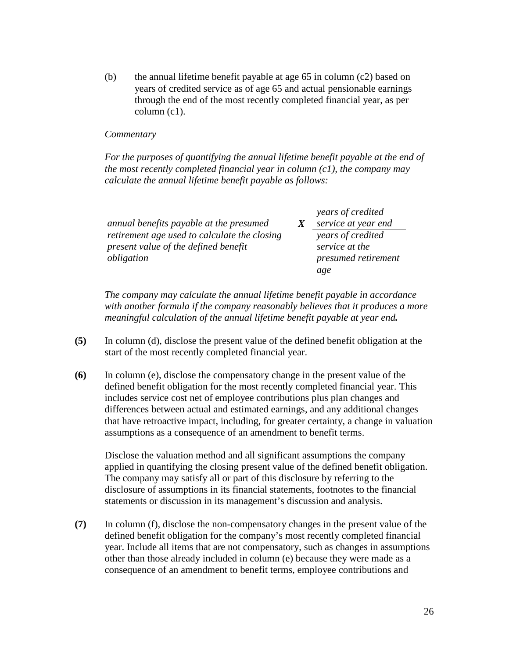(b) the annual lifetime benefit payable at age  $65$  in column (c2) based on years of credited service as of age 65 and actual pensionable earnings through the end of the most recently completed financial year, as per column (c1).

#### *Commentary*

*For the purposes of quantifying the annual lifetime benefit payable at the end of the most recently completed financial year in column (c1), the company may calculate the annual lifetime benefit payable as follows:*

*annual benefits payable at the presumed years of credited service at year end retirement age used to calculate the closing present value of the defined benefit obligation years of credited service at the presumed retirement age*

*The company may calculate the annual lifetime benefit payable in accordance with another formula if the company reasonably believes that it produces a more meaningful calculation of the annual lifetime benefit payable at year end.*

- **(5)** In column (d), disclose the present value of the defined benefit obligation at the start of the most recently completed financial year.
- **(6)** In column (e), disclose the compensatory change in the present value of the defined benefit obligation for the most recently completed financial year. This includes service cost net of employee contributions plus plan changes and differences between actual and estimated earnings, and any additional changes that have retroactive impact, including, for greater certainty, a change in valuation assumptions as a consequence of an amendment to benefit terms.

Disclose the valuation method and all significant assumptions the company applied in quantifying the closing present value of the defined benefit obligation. The company may satisfy all or part of this disclosure by referring to the disclosure of assumptions in its financial statements, footnotes to the financial statements or discussion in its management's discussion and analysis.

**(7)** In column (f), disclose the non-compensatory changes in the present value of the defined benefit obligation for the company's most recently completed financial year. Include all items that are not compensatory, such as changes in assumptions other than those already included in column (e) because they were made as a consequence of an amendment to benefit terms, employee contributions and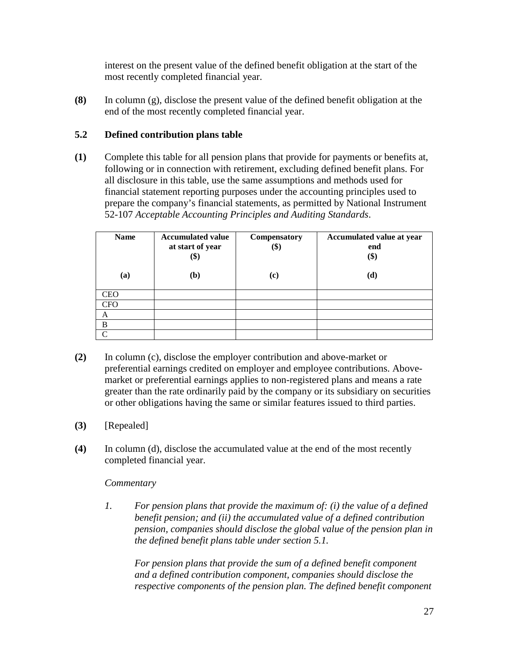interest on the present value of the defined benefit obligation at the start of the most recently completed financial year.

**(8)** In column (g), disclose the present value of the defined benefit obligation at the end of the most recently completed financial year.

## **5.2 Defined contribution plans table**

**(1)** Complete this table for all pension plans that provide for payments or benefits at, following or in connection with retirement, excluding defined benefit plans. For all disclosure in this table, use the same assumptions and methods used for financial statement reporting purposes under the accounting principles used to prepare the company's financial statements, as permitted by National Instrument 52-107 *Acceptable Accounting Principles and Auditing Standards*.

| <b>Name</b> | <b>Accumulated value</b><br>at start of year<br>(\$) | Compensatory<br>(\$) | Accumulated value at year<br>end<br>\$) |
|-------------|------------------------------------------------------|----------------------|-----------------------------------------|
| (a)         | (b)                                                  | (c)                  | (d)                                     |
| <b>CEO</b>  |                                                      |                      |                                         |
| <b>CFO</b>  |                                                      |                      |                                         |
| A           |                                                      |                      |                                         |
| B           |                                                      |                      |                                         |
| $\Gamma$    |                                                      |                      |                                         |

- **(2)** In column (c), disclose the employer contribution and above-market or preferential earnings credited on employer and employee contributions. Abovemarket or preferential earnings applies to non-registered plans and means a rate greater than the rate ordinarily paid by the company or its subsidiary on securities or other obligations having the same or similar features issued to third parties.
- **(3)** [Repealed]
- **(4)** In column (d), disclose the accumulated value at the end of the most recently completed financial year.

## *Commentary*

*1. For pension plans that provide the maximum of: (i) the value of a defined benefit pension; and (ii) the accumulated value of a defined contribution pension, companies should disclose the global value of the pension plan in the defined benefit plans table under section 5.1.*

*For pension plans that provide the sum of a defined benefit component and a defined contribution component, companies should disclose the respective components of the pension plan. The defined benefit component*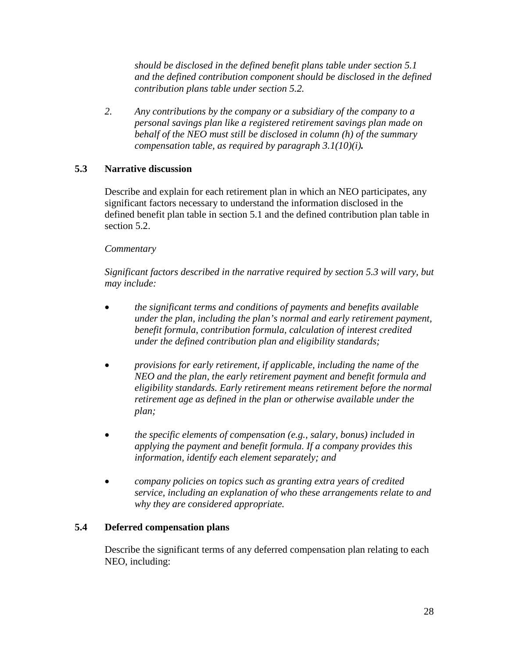*should be disclosed in the defined benefit plans table under section 5.1 and the defined contribution component should be disclosed in the defined contribution plans table under section 5.2.* 

*2. Any contributions by the company or a subsidiary of the company to a personal savings plan like a registered retirement savings plan made on behalf of the NEO must still be disclosed in column (h) of the summary compensation table, as required by paragraph 3.1(10)(i).*

## **5.3 Narrative discussion**

Describe and explain for each retirement plan in which an NEO participates, any significant factors necessary to understand the information disclosed in the defined benefit plan table in section 5.1 and the defined contribution plan table in section 5.2.

## *Commentary*

*Significant factors described in the narrative required by section 5.3 will vary, but may include:*

- *the significant terms and conditions of payments and benefits available under the plan, including the plan's normal and early retirement payment, benefit formula, contribution formula, calculation of interest credited under the defined contribution plan and eligibility standards;*
- *provisions for early retirement, if applicable, including the name of the NEO and the plan, the early retirement payment and benefit formula and eligibility standards. Early retirement means retirement before the normal retirement age as defined in the plan or otherwise available under the plan;*
- *the specific elements of compensation (e.g., salary, bonus) included in applying the payment and benefit formula. If a company provides this information, identify each element separately; and*
- *company policies on topics such as granting extra years of credited service, including an explanation of who these arrangements relate to and why they are considered appropriate.*

## **5.4 Deferred compensation plans**

Describe the significant terms of any deferred compensation plan relating to each NEO, including: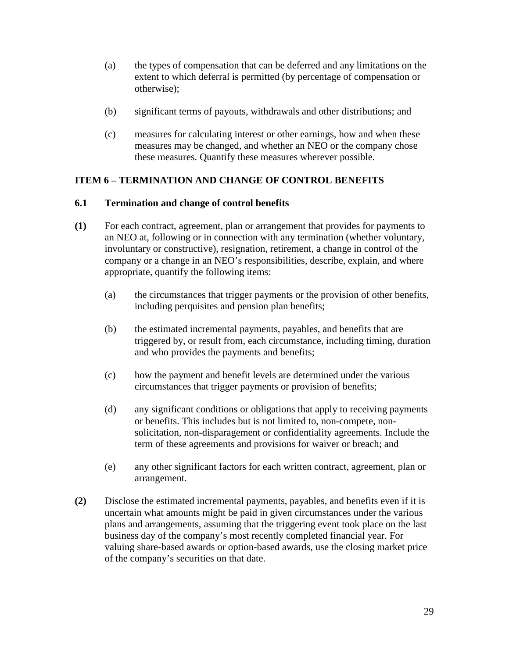- (a) the types of compensation that can be deferred and any limitations on the extent to which deferral is permitted (by percentage of compensation or otherwise);
- (b) significant terms of payouts, withdrawals and other distributions; and
- (c) measures for calculating interest or other earnings, how and when these measures may be changed, and whether an NEO or the company chose these measures. Quantify these measures wherever possible.

## **ITEM 6 – TERMINATION AND CHANGE OF CONTROL BENEFITS**

## **6.1 Termination and change of control benefits**

- **(1)** For each contract, agreement, plan or arrangement that provides for payments to an NEO at, following or in connection with any termination (whether voluntary, involuntary or constructive), resignation, retirement, a change in control of the company or a change in an NEO's responsibilities, describe, explain, and where appropriate, quantify the following items:
	- (a) the circumstances that trigger payments or the provision of other benefits, including perquisites and pension plan benefits;
	- (b) the estimated incremental payments, payables, and benefits that are triggered by, or result from, each circumstance, including timing, duration and who provides the payments and benefits;
	- (c) how the payment and benefit levels are determined under the various circumstances that trigger payments or provision of benefits;
	- (d) any significant conditions or obligations that apply to receiving payments or benefits. This includes but is not limited to, non-compete, nonsolicitation, non-disparagement or confidentiality agreements. Include the term of these agreements and provisions for waiver or breach; and
	- (e) any other significant factors for each written contract, agreement, plan or arrangement.
- **(2)** Disclose the estimated incremental payments, payables, and benefits even if it is uncertain what amounts might be paid in given circumstances under the various plans and arrangements, assuming that the triggering event took place on the last business day of the company's most recently completed financial year. For valuing share-based awards or option-based awards, use the closing market price of the company's securities on that date.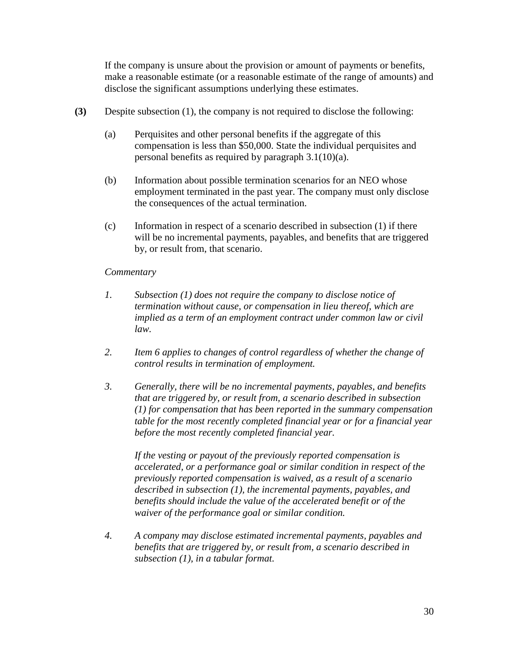If the company is unsure about the provision or amount of payments or benefits, make a reasonable estimate (or a reasonable estimate of the range of amounts) and disclose the significant assumptions underlying these estimates.

- **(3)** Despite subsection (1), the company is not required to disclose the following:
	- (a) Perquisites and other personal benefits if the aggregate of this compensation is less than \$50,000. State the individual perquisites and personal benefits as required by paragraph 3.1(10)(a).
	- (b) Information about possible termination scenarios for an NEO whose employment terminated in the past year. The company must only disclose the consequences of the actual termination.
	- (c) Information in respect of a scenario described in subsection (1) if there will be no incremental payments, payables, and benefits that are triggered by, or result from, that scenario.

## *Commentary*

- *1. Subsection (1) does not require the company to disclose notice of termination without cause, or compensation in lieu thereof, which are implied as a term of an employment contract under common law or civil law.*
- *2. Item 6 applies to changes of control regardless of whether the change of control results in termination of employment.*
- *3. Generally, there will be no incremental payments, payables, and benefits that are triggered by, or result from, a scenario described in subsection (1) for compensation that has been reported in the summary compensation table for the most recently completed financial year or for a financial year before the most recently completed financial year.*

*If the vesting or payout of the previously reported compensation is accelerated, or a performance goal or similar condition in respect of the previously reported compensation is waived, as a result of a scenario described in subsection (1), the incremental payments, payables, and benefits should include the value of the accelerated benefit or of the waiver of the performance goal or similar condition.* 

*4. A company may disclose estimated incremental payments, payables and benefits that are triggered by, or result from, a scenario described in subsection (1), in a tabular format.*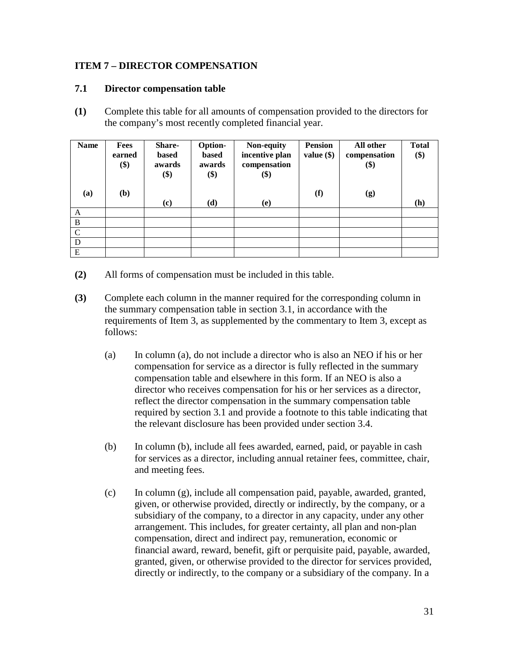## **ITEM 7 – DIRECTOR COMPENSATION**

## **7.1 Director compensation table**

**(1)** Complete this table for all amounts of compensation provided to the directors for the company's most recently completed financial year.

| <b>Name</b> | Fees<br>earned<br>\$) | <b>Share-</b><br>based<br>awards<br>\$) | Option-<br>based<br>awards<br>\$) | Non-equity<br>incentive plan<br>compensation<br>\$) | <b>Pension</b><br>value $(\$)$ | All other<br>compensation<br>\$) | <b>Total</b><br>\$) |
|-------------|-----------------------|-----------------------------------------|-----------------------------------|-----------------------------------------------------|--------------------------------|----------------------------------|---------------------|
| (a)         | (b)                   | (c)                                     | (d)                               | (e)                                                 | (f)                            | $\left( \mathbf{g} \right)$      | (h)                 |
| A           |                       |                                         |                                   |                                                     |                                |                                  |                     |
| B           |                       |                                         |                                   |                                                     |                                |                                  |                     |
| $\mathbf C$ |                       |                                         |                                   |                                                     |                                |                                  |                     |
| D           |                       |                                         |                                   |                                                     |                                |                                  |                     |
| E           |                       |                                         |                                   |                                                     |                                |                                  |                     |

- **(2)** All forms of compensation must be included in this table.
- **(3)** Complete each column in the manner required for the corresponding column in the summary compensation table in section 3.1, in accordance with the requirements of Item 3, as supplemented by the commentary to Item 3, except as follows:
	- (a) In column (a), do not include a director who is also an NEO if his or her compensation for service as a director is fully reflected in the summary compensation table and elsewhere in this form. If an NEO is also a director who receives compensation for his or her services as a director, reflect the director compensation in the summary compensation table required by section 3.1 and provide a footnote to this table indicating that the relevant disclosure has been provided under section 3.4.
	- (b) In column (b), include all fees awarded, earned, paid, or payable in cash for services as a director, including annual retainer fees, committee, chair, and meeting fees.
	- (c) In column (g), include all compensation paid, payable, awarded, granted, given, or otherwise provided, directly or indirectly, by the company, or a subsidiary of the company, to a director in any capacity, under any other arrangement. This includes, for greater certainty, all plan and non-plan compensation, direct and indirect pay, remuneration, economic or financial award, reward, benefit, gift or perquisite paid, payable, awarded, granted, given, or otherwise provided to the director for services provided, directly or indirectly, to the company or a subsidiary of the company. In a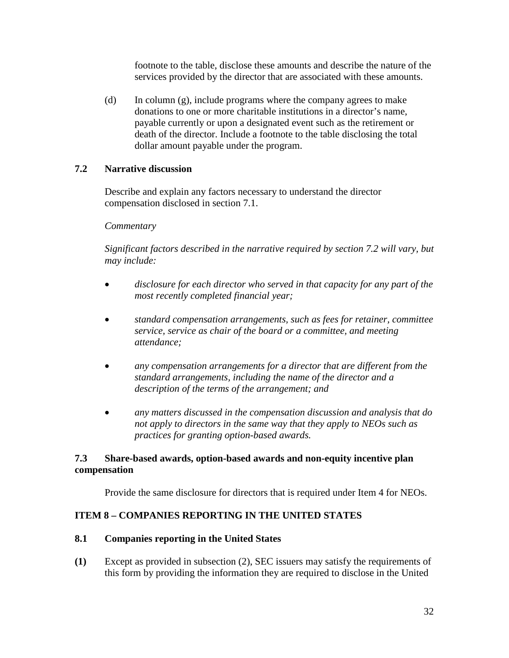footnote to the table, disclose these amounts and describe the nature of the services provided by the director that are associated with these amounts.

(d) In column (g), include programs where the company agrees to make donations to one or more charitable institutions in a director's name, payable currently or upon a designated event such as the retirement or death of the director. Include a footnote to the table disclosing the total dollar amount payable under the program.

## **7.2 Narrative discussion**

Describe and explain any factors necessary to understand the director compensation disclosed in section 7.1.

#### *Commentary*

*Significant factors described in the narrative required by section 7.2 will vary, but may include:*

- *disclosure for each director who served in that capacity for any part of the most recently completed financial year;*
- *standard compensation arrangements, such as fees for retainer, committee service, service as chair of the board or a committee, and meeting attendance;*
- *any compensation arrangements for a director that are different from the standard arrangements, including the name of the director and a description of the terms of the arrangement; and*
- *any matters discussed in the compensation discussion and analysis that do not apply to directors in the same way that they apply to NEOs such as practices for granting option-based awards.*

## **7.3 Share-based awards, option-based awards and non-equity incentive plan compensation**

Provide the same disclosure for directors that is required under Item 4 for NEOs.

## **ITEM 8 – COMPANIES REPORTING IN THE UNITED STATES**

#### **8.1 Companies reporting in the United States**

**(1)** Except as provided in subsection (2), SEC issuers may satisfy the requirements of this form by providing the information they are required to disclose in the United